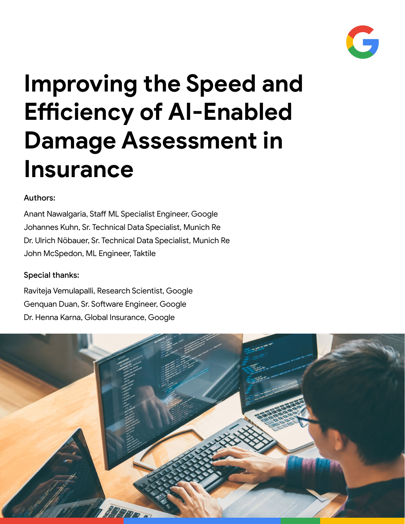

# **Improving the Speed and Efficiency of AI-Enabled Damage Assessment in Insurance**

### Authors:

Anant Nawalgaria, Staff ML Specialist Engineer, Google Johannes Kuhn, Sr. Technical Data Specialist, Munich Re Dr. Ulrich Nöbauer, Sr. Technical Data Specialist, Munich Re John McSpedon, ML Engineer, Taktile

### Special thanks:

Raviteja Vemulapalli, Research Scientist, Google Genquan Duan, Sr. Software Engineer, Google Dr. Henna Karna, Global Insurance, Google

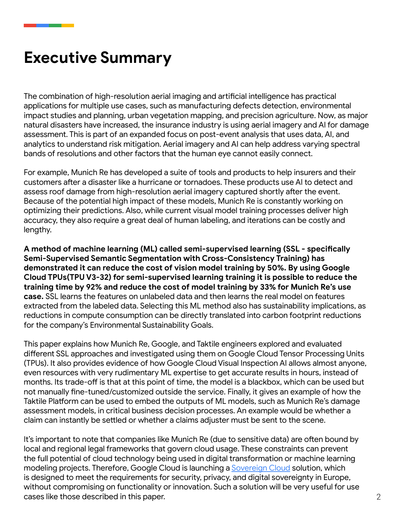# **Executive Summary**

The combination of high-resolution aerial imaging and artificial intelligence has practical applications for multiple use cases, such as manufacturing defects detection, environmental impact studies and planning, urban vegetation mapping, and precision agriculture. Now, as major natural disasters have increased, the insurance industry is using aerial imagery and AI for damage assessment. This is part of an expanded focus on post-event analysis that uses data, AI, and analytics to understand risk mitigation. Aerial imagery and AI can help address varying spectral bands of resolutions and other factors that the human eye cannot easily connect.

For example, Munich Re has developed a suite of tools and products to help insurers and their customers after a disaster like a hurricane or tornadoes. These products use AI to detect and assess roof damage from high-resolution aerial imagery captured shortly after the event. Because of the potential high impact of these models, Munich Re is constantly working on optimizing their predictions. Also, while current visual model training processes deliver high accuracy, they also require a great deal of human labeling, and iterations can be costly and lengthy.

**A method of machine learning (ML) called semi-supervised learning (SSL - specifically Semi-Supervised Semantic Segmentation with Cross-Consistency Training) has demonstrated it can reduce the cost of vision model training by 50%. By using Google Cloud TPUs(TPU V3-32) for semi-supervised learning training it is possible to reduce the training time by 92% and reduce the cost of model training by 33% for Munich Re's use case.** SSL learns the features on unlabeled data and then learns the real model on features extracted from the labeled data. Selecting this ML method also has sustainability implications, as reductions in compute consumption can be directly translated into carbon footprint reductions for the company's Environmental Sustainability Goals.

This paper explains how Munich Re, Google, and Taktile engineers explored and evaluated different SSL approaches and investigated using them on Google Cloud Tensor Processing Units (TPUs). It also provides evidence of how Google Cloud Visual Inspection AI allows almost anyone, even resources with very rudimentary ML expertise to get accurate results in hours, instead of months. Its trade-off is that at this point of time, the model is a blackbox, which can be used but not manually fine-tuned/customized outside the service. Finally, it gives an example of how the Taktile Platform can be used to embed the outputs of ML models, such as Munich Re's damage assessment models, in critical business decision processes. An example would be whether a claim can instantly be settled or whether a claims adjuster must be sent to the scene.

It's important to note that companies like Munich Re (due to sensitive data) are often bound by local and regional legal frameworks that govern cloud usage. These constraints can prevent the full potential of cloud technology being used in digital transformation or machine learning modeling projects. Therefore, Google Cloud is launching a **Sovereign Cloud** solution, which is designed to meet the requirements for security, privacy, and digital sovereignty in Europe, without compromising on functionality or innovation. Such a solution will be very useful for use cases like those described in this paper.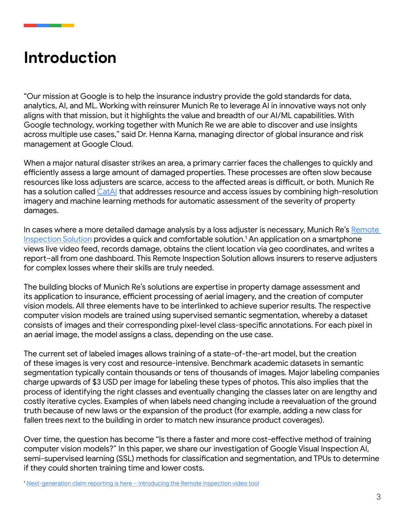### **Introduction**

"Our mission at Google is to help the insurance industry provide the gold standards for data, analytics, AI, and ML. Working with reinsurer Munich Re to leverage AI in innovative ways not only aligns with that mission, but it highlights the value and breadth of our AI/ML capabilities. With Google technology, working together with Munich Re we are able to discover and use insights across multiple use cases," said Dr. Henna Karna, managing director of global insurance and risk management at Google Cloud.

When a major natural disaster strikes an area, a primary carrier faces the challenges to quickly and efficiently assess a large amount of damaged properties. These processes are often slow because resources like loss adjusters are scarce, access to the affected areas is difficult, or both. Munich Re has a solution called [CatAI](https://www.munichre.com/en/solutions/reinsurance-property-casualty/cat-ai-solution.html) that addresses resource and access issues by combining high-resolution imagery and machine learning methods for automatic assessment of the severity of property damages.

In cases where a more detailed damage analysis by a loss adjuster is necessary, Munich Re's Remote [Inspection Solution](https://www.munichre.com/en/solutions/reinsurance-property-casualty/remote-inspection-solution.html) provides a quick and comfortable solution.<sup>1</sup> An application on a smartphone views live video feed, records damage, obtains the client location via geo coordinates, and writes a report–all from one dashboard. This Remote Inspection Solution allows insurers to reserve adjusters for complex losses where their skills are truly needed.

The building blocks of Munich Re's solutions are expertise in property damage assessment and its application to insurance, efficient processing of aerial imagery, and the creation of computer vision models. All three elements have to be interlinked to achieve superior results. The respective computer vision models are trained using supervised semantic segmentation, whereby a dataset consists of images and their corresponding pixel-level class-specific annotations. For each pixel in an aerial image, the model assigns a class, depending on the use case.

The current set of labeled images allows training of a state-of-the-art model, but the creation of these images is very cost and resource-intensive. Benchmark academic datasets in semantic segmentation typically contain thousands or tens of thousands of images. Major labeling companies charge upwards of \$3 USD per image for labeling these types of photos. This also implies that the process of identifying the right classes and eventually changing the classes later on are lengthy and costly iterative cycles. Examples of when labels need changing include a reevaluation of the ground truth because of new laws or the expansion of the product (for example, adding a new class for fallen trees next to the building in order to match new insurance product coverages).

Over time, the question has become "Is there a faster and more cost-effective method of training computer vision models?" In this paper, we share our investigation of Google Visual Inspection AI, semi-supervised learning (SSL) methods for classification and segmentation, and TPUs to determine if they could shorten training time and lower costs.

1 [Next-generation claim reporting is here – introducing the Remote Inspection video tool](https://www.munichre.com/content/dam/munichre/mram/content-pieces/pdfs/RI_VideoInspectionTool_FS-09022020.pdf/_jcr_content/renditions/original./RI_VideoInspectionTool_FS-09022020.pdf)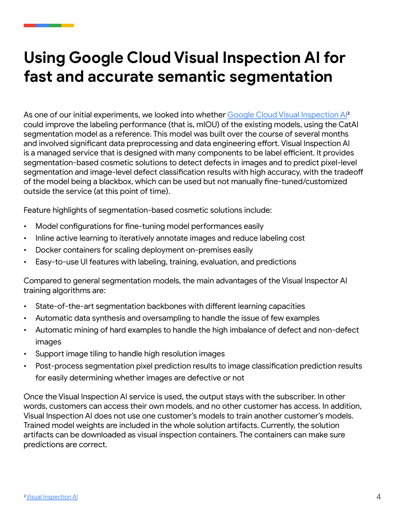# **Using Google Cloud Visual Inspection AI for fast and accurate semantic segmentation**

As one of our initial experiments, we looked into whether Google Cloud Visual Inspection Al<sup>2</sup> could improve the labeling performance (that is, mIOU) of the existing models, using the CatAI segmentation model as a reference. This model was built over the course of several months and involved significant data preprocessing and data engineering effort. Visual Inspection AI is a managed service that is designed with many components to be label efficient. It provides segmentation-based cosmetic solutions to detect defects in images and to predict pixel-level segmentation and image-level defect classification results with high accuracy, with the tradeoff of the model being a blackbox, which can be used but not manually fine-tuned/customized outside the service (at this point of time).

Feature highlights of segmentation-based cosmetic solutions include:

- Model configurations for fine-tuning model performances easily
- Inline active learning to iteratively annotate images and reduce labeling cost
- Docker containers for scaling deployment on-premises easily
- Easy-to-use UI features with labeling, training, evaluation, and predictions

Compared to general segmentation models, the main advantages of the Visual Inspector AI training algorithms are:

- State-of-the-art segmentation backbones with different learning capacities
- Automatic data synthesis and oversampling to handle the issue of few examples
- Automatic mining of hard examples to handle the high imbalance of defect and non-defect images
- Support image tiling to handle high resolution images
- Post-process segmentation pixel prediction results to image classification prediction results for easily determining whether images are defective or not

Once the Visual Inspection AI service is used, the output stays with the subscriber. In other words, customers can access their own models, and no other customer has access. In addition, Visual Inspection AI does not use one customer's models to train another customer's models. Trained model weights are included in the whole solution artifacts. Currently, the solution artifacts can be downloaded as visual inspection containers. The containers can make sure predictions are correct.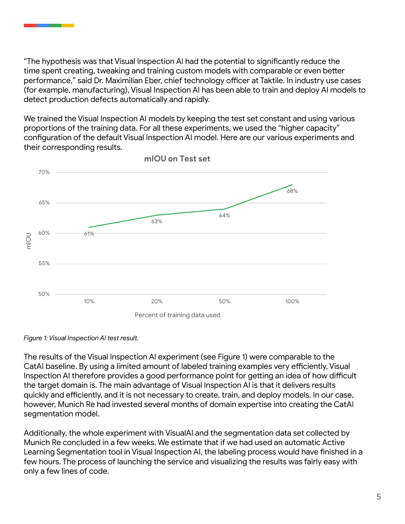"The hypothesis was that Visual Inspection AI had the potential to significantly reduce the time spent creating, tweaking and training custom models with comparable or even better performance," said Dr. Maximilian Eber, chief technology officer at Taktile. In industry use cases (for example, manufacturing), Visual Inspection AI has been able to train and deploy AI models to detect production defects automatically and rapidly.

We trained the Visual Inspection AI models by keeping the test set constant and using various proportions of the training data. For all these experiments, we used the "higher capacity" configuration of the default Visual Inspection AI model. Here are our various experiments and their corresponding results.



*Figure 1: Visual Inspection AI test result.*

The results of the Visual Inspection AI experiment (see Figure 1) were comparable to the CatAI baseline. By using a limited amount of labeled training examples very efficiently, Visual Inspection AI therefore provides a good performance point for getting an idea of how difficult the target domain is. The main advantage of Visual Inspection AI is that it delivers results quickly and efficiently, and it is not necessary to create, train, and deploy models. In our case, however, Munich Re had invested several months of domain expertise into creating the CatAI segmentation model.

Additionally, the whole experiment with VisualAI and the segmentation data set collected by Munich Re concluded in a few weeks. We estimate that if we had used an automatic Active Learning Segmentation tool in Visual Inspection AI, the labeling process would have finished in a few hours. The process of launching the service and visualizing the results was fairly easy with only a few lines of code.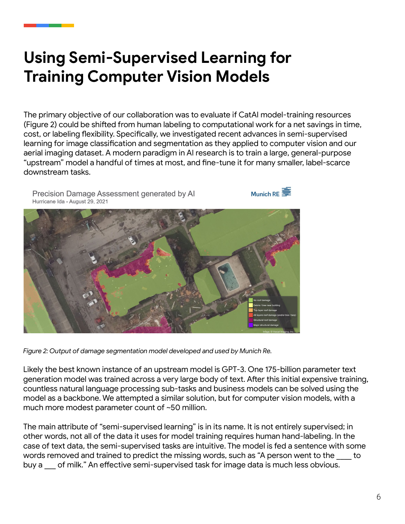# **Using Semi-Supervised Learning for Training Computer Vision Models**

The primary objective of our collaboration was to evaluate if CatAI model-training resources (Figure 2) could be shifted from human labeling to computational work for a net savings in time, cost, or labeling flexibility. Specifically, we investigated recent advances in semi-supervised learning for image classification and segmentation as they applied to computer vision and our aerial imaging dataset. A modern paradigm in AI research is to train a large, general-purpose "upstream" model a handful of times at most, and fine-tune it for many smaller, label-scarce downstream tasks.



*Figure 2: Output of damage segmentation model developed and used by Munich Re.*

Likely the best known instance of an upstream model is GPT-3. One 175-billion parameter text generation model was trained across a very large body of text. After this initial expensive training, countless natural language processing sub-tasks and business models can be solved using the model as a backbone. We attempted a similar solution, but for computer vision models, with a much more modest parameter count of ~50 million.

The main attribute of "semi-supervised learning" is in its name. It is not entirely supervised; in other words, not all of the data it uses for model training requires human hand-labeling. In the case of text data, the semi-supervised tasks are intuitive. The model is fed a sentence with some words removed and trained to predict the missing words, such as "A person went to the to buy a of milk." An effective semi-supervised task for image data is much less obvious.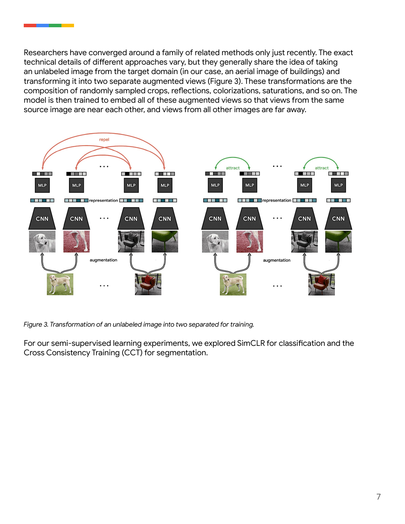Researchers have converged around a family of related methods only just recently. The exact technical details of different approaches vary, but they generally share the idea of taking an unlabeled image from the target domain (in our case, an aerial image of buildings) and transforming it into two separate augmented views (Figure 3). These transformations are the composition of randomly sampled crops, reflections, colorizations, saturations, and so on. The model is then trained to embed all of these augmented views so that views from the same source image are near each other, and views from all other images are far away.



*Figure 3. Transformation of an unlabeled image into two separated for training.*

For our semi-supervised learning experiments, we explored SimCLR for classification and the Cross Consistency Training (CCT) for segmentation.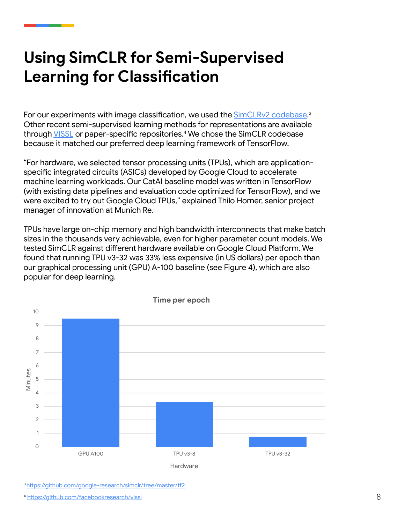# **Using SimCLR for Semi-Supervised Learning for Classification**

For our experiments with image classification, we used the <u>[SimCLRv2 codebase](https://github.com/google-research/simclr/tree/master/tf2).</u>3 Other recent semi-supervised learning methods for representations are available through [VISSL](https://github.com/facebookresearch/vissl) or paper-specific repositories.<sup>4</sup> We chose the SimCLR codebase because it matched our preferred deep learning framework of TensorFlow.

"For hardware, we selected tensor processing units (TPUs), which are applicationspecific integrated circuits (ASICs) developed by Google Cloud to accelerate machine learning workloads. Our CatAI baseline model was written in TensorFlow (with existing data pipelines and evaluation code optimized for TensorFlow), and we were excited to try out Google Cloud TPUs," explained Thilo Horner, senior project manager of innovation at Munich Re.

TPUs have large on-chip memory and high bandwidth interconnects that make batch sizes in the thousands very achievable, even for higher parameter count models. We tested SimCLR against different hardware available on Google Cloud Platform. We found that running TPU v3-32 was 33% less expensive (in US dollars) per epoch than our graphical processing unit (GPU) A-100 baseline (see Figure 4), which are also popular for deep learning.



3 https://github.com/google-research/simclr/tree/master/tf2

[4](6 https://github.com/facebookresearch/vissl) <https://github.com/facebookresearch/vissl>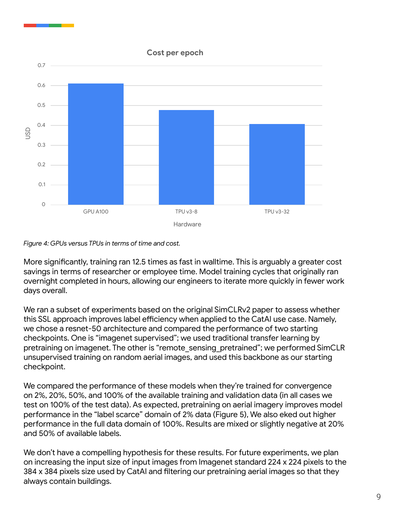#### **Cost per epoch**



*Figure 4: GPUs versus TPUs in terms of time and cost.*

More significantly, training ran 12.5 times as fast in walltime. This is arguably a greater cost savings in terms of researcher or employee time. Model training cycles that originally ran overnight completed in hours, allowing our engineers to iterate more quickly in fewer work days overall.

We ran a subset of experiments based on the original SimCLRv2 paper to assess whether this SSL approach improves label efficiency when applied to the CatAI use case. Namely, we chose a resnet-50 architecture and compared the performance of two starting checkpoints. One is "imagenet supervised"; we used traditional transfer learning by pretraining on imagenet. The other is "remote sensing pretrained"; we performed SimCLR unsupervised training on random aerial images, and used this backbone as our starting checkpoint.

We compared the performance of these models when they're trained for convergence on 2%, 20%, 50%, and 100% of the available training and validation data (in all cases we test on 100% of the test data). As expected, pretraining on aerial imagery improves model performance in the "label scarce" domain of 2% data (Figure 5), We also eked out higher performance in the full data domain of 100%. Results are mixed or slightly negative at 20% and 50% of available labels.

We don't have a compelling hypothesis for these results. For future experiments, we plan on increasing the input size of input images from Imagenet standard 224 x 224 pixels to the 384 x 384 pixels size used by CatAI and filtering our pretraining aerial images so that they always contain buildings.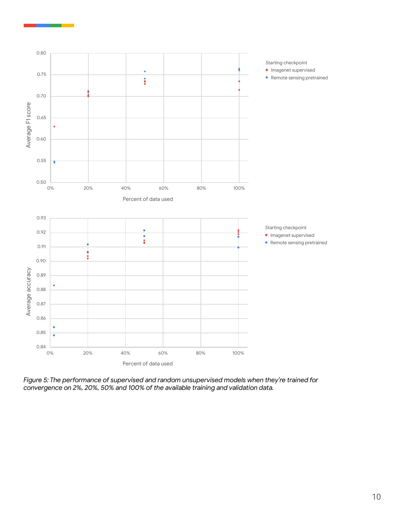

*Figure 5: The performance of supervised and random unsupervised models when they're trained for convergence on 2%, 20%, 50% and 100% of the available training and validation data.*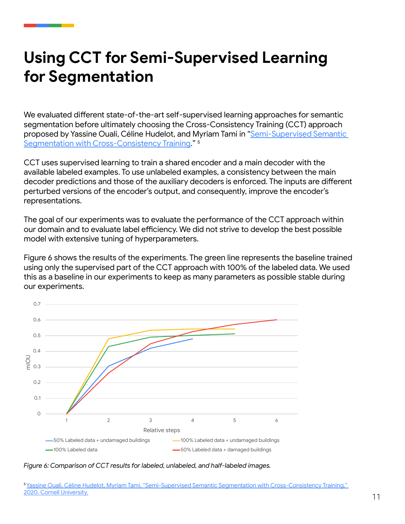# **Using CCT for Semi-Supervised Learning for Segmentation**

We evaluated different state-of-the-art self-supervised learning approaches for semantic segmentation before ultimately choosing the Cross-Consistency Training (CCT) approach proposed by Yassine Ouali, Céline Hudelot, and Myriam Tami in "[Semi-Supervised Semantic](https://arxiv.org/abs/2003.09005)  [Segmentation with Cross-Consistency Training](https://arxiv.org/abs/2003.09005)." 5

CCT uses supervised learning to train a shared encoder and a main decoder with the available labeled examples. To use unlabeled examples, a consistency between the main decoder predictions and those of the auxiliary decoders is enforced. The inputs are different perturbed versions of the encoder's output, and consequently, improve the encoder's representations.

The goal of our experiments was to evaluate the performance of the CCT approach within our domain and to evaluate label efficiency. We did not strive to develop the best possible model with extensive tuning of hyperparameters.

Figure 6 shows the results of the experiments. The green line represents the baseline trained using only the supervised part of the CCT approach with 100% of the labeled data. We used this as a baseline in our experiments to keep as many parameters as possible stable during our experiments.



*Figure 6: Comparison of CCT results for labeled, unlabeled, and half-labeled images.*

<sup>5</sup>[Yassine Ouali, Céline Hudelot, Myriam Tami, "Semi-Supervised Semantic Segmentation with Cross-Consistency Training,"](https://arxiv.org/abs/2003.09005)  [2020. Cornell University.](https://arxiv.org/abs/2003.09005)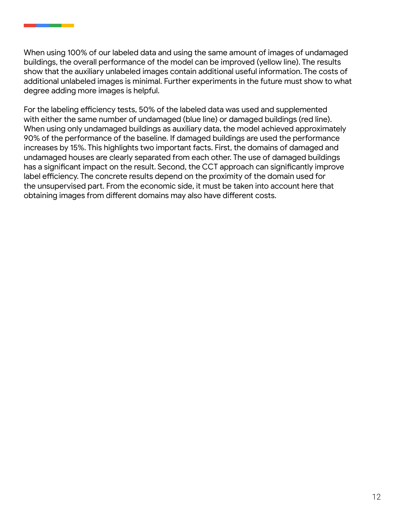When using 100% of our labeled data and using the same amount of images of undamaged buildings, the overall performance of the model can be improved (yellow line). The results show that the auxiliary unlabeled images contain additional useful information. The costs of additional unlabeled images is minimal. Further experiments in the future must show to what degree adding more images is helpful.

For the labeling efficiency tests, 50% of the labeled data was used and supplemented with either the same number of undamaged (blue line) or damaged buildings (red line). When using only undamaged buildings as auxiliary data, the model achieved approximately 90% of the performance of the baseline. If damaged buildings are used the performance increases by 15%. This highlights two important facts. First, the domains of damaged and undamaged houses are clearly separated from each other. The use of damaged buildings has a significant impact on the result. Second, the CCT approach can significantly improve label efficiency. The concrete results depend on the proximity of the domain used for the unsupervised part. From the economic side, it must be taken into account here that obtaining images from different domains may also have different costs.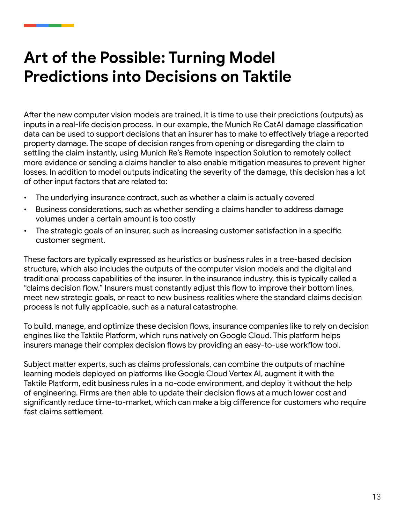# **Art of the Possible: Turning Model Predictions into Decisions on Taktile**

After the new computer vision models are trained, it is time to use their predictions (outputs) as inputs in a real-life decision process. In our example, the Munich Re CatAI damage classification data can be used to support decisions that an insurer has to make to effectively triage a reported property damage. The scope of decision ranges from opening or disregarding the claim to settling the claim instantly, using Munich Re's Remote Inspection Solution to remotely collect more evidence or sending a claims handler to also enable mitigation measures to prevent higher losses. In addition to model outputs indicating the severity of the damage, this decision has a lot of other input factors that are related to:

- The underlying insurance contract, such as whether a claim is actually covered
- Business considerations, such as whether sending a claims handler to address damage volumes under a certain amount is too costly
- The strategic goals of an insurer, such as increasing customer satisfaction in a specific customer segment.

These factors are typically expressed as heuristics or business rules in a tree-based decision structure, which also includes the outputs of the computer vision models and the digital and traditional process capabilities of the insurer. In the insurance industry, this is typically called a "claims decision flow." Insurers must constantly adjust this flow to improve their bottom lines, meet new strategic goals, or react to new business realities where the standard claims decision process is not fully applicable, such as a natural catastrophe.

To build, manage, and optimize these decision flows, insurance companies like to rely on decision engines like the Taktile Platform, which runs natively on Google Cloud. This platform helps insurers manage their complex decision flows by providing an easy-to-use workflow tool.

Subject matter experts, such as claims professionals, can combine the outputs of machine learning models deployed on platforms like Google Cloud Vertex AI, augment it with the Taktile Platform, edit business rules in a no-code environment, and deploy it without the help of engineering. Firms are then able to update their decision flows at a much lower cost and significantly reduce time-to-market, which can make a big difference for customers who require fast claims settlement.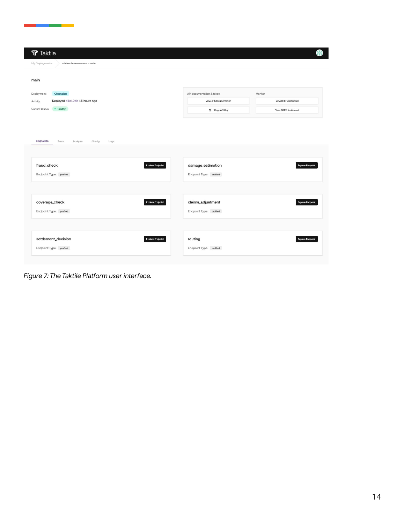| My Deployments<br>claims-homeowners - main                           |                                              |                         |
|----------------------------------------------------------------------|----------------------------------------------|-------------------------|
| main                                                                 |                                              |                         |
| Champion<br>Deployment:                                              | API documentation & token                    | Monitor                 |
| Deployed d1e10bb 15 hours ago<br>Activity:                           | View API documentation                       | View REST dashboard     |
| Current Status:<br>· Healthy                                         | Copy API Key                                 | View GRPC dashboard     |
|                                                                      |                                              |                         |
| fraud_check<br><b>Explore Endpoint</b><br>Endpoint Type: profiled    | damage_estimation<br>Endpoint Type: profiled | <b>Explore Endpoint</b> |
| coverage_check<br><b>Explore Endpoint</b><br>Endpoint Type: profiled | claims_adjustment<br>Endpoint Type: profiled | <b>Explore Endpoint</b> |

*Figure 7: The Taktile Platform user interface.*

an an Aon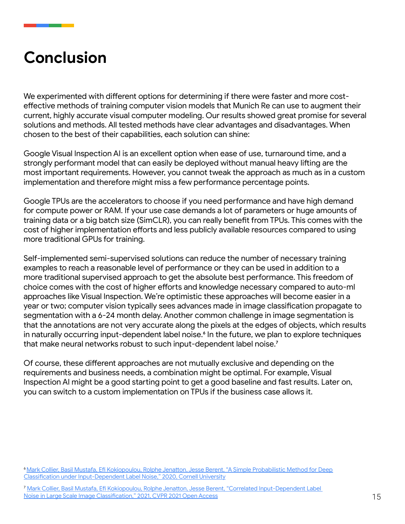### **Conclusion**

We experimented with different options for determining if there were faster and more costeffective methods of training computer vision models that Munich Re can use to augment their current, highly accurate visual computer modeling. Our results showed great promise for several solutions and methods. All tested methods have clear advantages and disadvantages. When chosen to the best of their capabilities, each solution can shine:

Google Visual Inspection AI is an excellent option when ease of use, turnaround time, and a strongly performant model that can easily be deployed without manual heavy lifting are the most important requirements. However, you cannot tweak the approach as much as in a custom implementation and therefore might miss a few performance percentage points.

Google TPUs are the accelerators to choose if you need performance and have high demand for compute power or RAM. If your use case demands a lot of parameters or huge amounts of training data or a big batch size (SimCLR), you can really benefit from TPUs. This comes with the cost of higher implementation efforts and less publicly available resources compared to using more traditional GPUs for training.

Self-implemented semi-supervised solutions can reduce the number of necessary training examples to reach a reasonable level of performance or they can be used in addition to a more traditional supervised approach to get the absolute best performance. This freedom of choice comes with the cost of higher efforts and knowledge necessary compared to auto-ml approaches like Visual Inspection. We're optimistic these approaches will become easier in a year or two; computer vision typically sees advances made in image classification propagate to segmentation with a 6-24 month delay. Another common challenge in image segmentation is that the annotations are not very accurate along the pixels at the edges of objects, which results in naturally occurring input-dependent label noise.<sup>6</sup> In the future, we plan to explore techniques that make neural networks robust to such input-dependent label noise.7

Of course, these different approaches are not mutually exclusive and depending on the requirements and business needs, a combination might be optimal. For example, Visual Inspection AI might be a good starting point to get a good baseline and fast results. Later on, you can switch to a custom implementation on TPUs if the business case allows it.

<sup>&</sup>lt;sup>6</sup> Mark Collier, Basil Mustafa, Efi Kokiopoulou, Rolphe Jenatton, Jesse Berent, "A Simple Probabilistic Method for Deep [Classification under Input-Dependent Label Noise," 2020, Cornell University](https://arxiv.org/abs/2003.06778)

<sup>7</sup> [Mark Collier, Basil Mustafa, Efi Kokiopoulou, Rolphe Jenatton, Jesse Berent, "Correlated Input-Dependent Label](https://openaccess.thecvf.com/content/CVPR2021/html/Collier_Correlated_Input-Dependent_Label_Noise_in_Large-Scale_Image_Classification_CVPR_2021_paper.html)  Noise in Large [Scale Image Classification," 2021, CVPR 2021 Open Access](https://openaccess.thecvf.com/content/CVPR2021/html/Collier_Correlated_Input-Dependent_Label_Noise_in_Large-Scale_Image_Classification_CVPR_2021_paper.html)